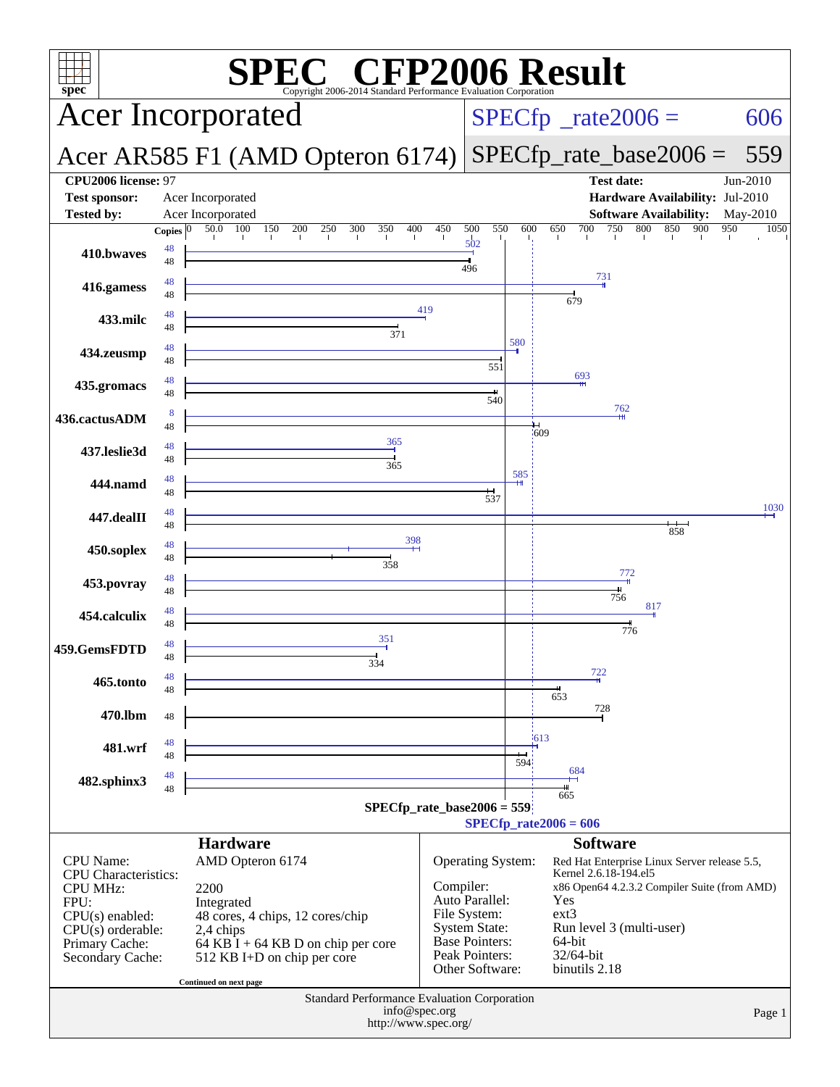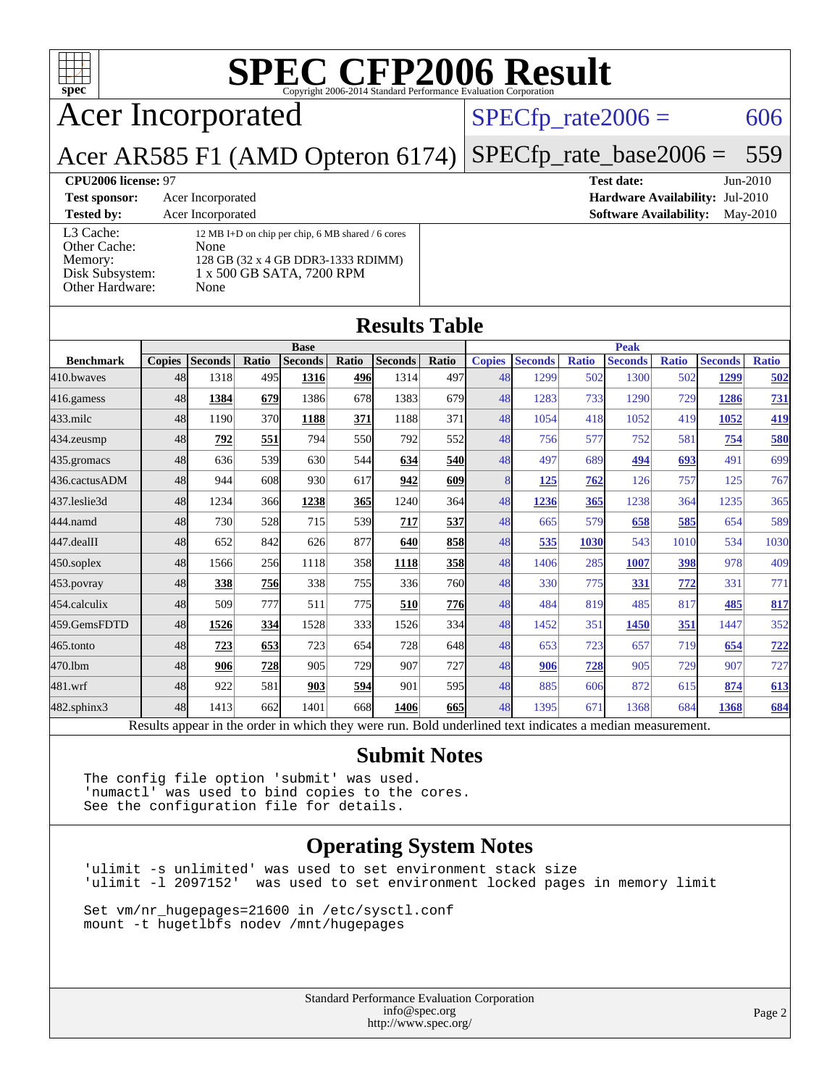

## Acer Incorporated

#### $SPECTp_rate2006 = 606$

Acer AR585 F1 (AMD Opteron 6174) [SPECfp\\_rate\\_base2006 =](http://www.spec.org/auto/cpu2006/Docs/result-fields.html#SPECfpratebase2006) 559

| <b>Test sponsor:</b>                                                       | Acer Incorporated                                                                                                                    |  |  |
|----------------------------------------------------------------------------|--------------------------------------------------------------------------------------------------------------------------------------|--|--|
| <b>Tested by:</b>                                                          | Acer Incorporated                                                                                                                    |  |  |
| L3 Cache:<br>Other Cache:<br>Memory:<br>Disk Subsystem:<br>Other Hardware: | 12 MB I+D on chip per chip, 6 MB shared / 6 cores<br>None<br>128 GB (32 x 4 GB DDR3-1333 RDIMM)<br>1 x 500 GB SATA, 7200 RPM<br>None |  |  |

## **[CPU2006 license:](http://www.spec.org/auto/cpu2006/Docs/result-fields.html#CPU2006license)** 97 **[Test date:](http://www.spec.org/auto/cpu2006/Docs/result-fields.html#Testdate)** Jun-2010

**[Hardware Availability:](http://www.spec.org/auto/cpu2006/Docs/result-fields.html#HardwareAvailability)** Jul-2010 **[Software Availability:](http://www.spec.org/auto/cpu2006/Docs/result-fields.html#SoftwareAvailability)** May-2010

#### **[Results Table](http://www.spec.org/auto/cpu2006/Docs/result-fields.html#ResultsTable)**

|                                                                                                          | <b>Base</b>   |                |            |                | <b>Peak</b> |                |            |               |                |              |                |              |                |              |
|----------------------------------------------------------------------------------------------------------|---------------|----------------|------------|----------------|-------------|----------------|------------|---------------|----------------|--------------|----------------|--------------|----------------|--------------|
| <b>Benchmark</b>                                                                                         | <b>Copies</b> | <b>Seconds</b> | Ratio      | <b>Seconds</b> | Ratio       | <b>Seconds</b> | Ratio      | <b>Copies</b> | <b>Seconds</b> | <b>Ratio</b> | <b>Seconds</b> | <b>Ratio</b> | <b>Seconds</b> | <b>Ratio</b> |
| 410.bwayes                                                                                               | 48            | 1318           | 495        | 1316           | 496         | 1314           | 497        | 48            | 1299           | 502          | 1300           | 502          | 1299           | 502          |
| 416.gamess                                                                                               | 48            | 1384           | 679        | 1386           | 678         | 1383           | 679        | 48            | 1283           | 733          | 1290           | 729          | 1286           | 731          |
| $433$ .milc                                                                                              | 48            | 1190           | 370        | 1188           | 371         | 1188           | 371        | 48            | 1054           | 418          | 1052           | 419          | 1052           | 419          |
| 434.zeusmp                                                                                               | 48            | 792            | 551        | 794            | 550l        | 792            | 552        | 48            | 756            | 577          | 752            | 581          | 754            | 580          |
| 435.gromacs                                                                                              | 48            | 636            | 539        | 630            | 544         | 634            | <b>540</b> | 48            | 497            | 689          | 494            | 693          | 491            | 699          |
| 436.cactusADM                                                                                            | 48            | 944            | 608        | 930            | 617         | 942            | 609        | 8             | <u>125</u>     | 762          | 126            | 757          | 125            | 767          |
| 437.leslie3d                                                                                             | 48            | 1234           | 366        | 1238           | <b>365</b>  | 1240           | 364        | 48            | 1236           | 365          | 1238           | 364          | 1235           | 365          |
| 444.namd                                                                                                 | 48            | 730            | 528        | 715            | 539         | 717            | 537        | 48            | 665            | 579          | 658            | 585          | 654            | 589          |
| 447.dealII                                                                                               | 48            | 652            | 842        | 626            | 877         | 640            | 858        | 48            | 535            | 1030         | 543            | 1010         | 534            | 1030         |
| $450$ .soplex                                                                                            | 48            | 1566           | 256        | 1118           | 358l        | 1118           | <u>358</u> | 48            | 1406           | 285          | 1007           | 398          | 978            | 409          |
| $453$ . povray                                                                                           | 48            | 338            | <u>756</u> | 338            | 755I        | 336            | 760        | 48            | 330            | 775          | 331            | 772          | 331            | 771          |
| 454.calculix                                                                                             | 48            | 509            | 777        | 511            | 775         | 510            | <b>776</b> | 48            | 484            | 819          | 485            | 817          | 485            | 817          |
| 459.GemsFDTD                                                                                             | 48            | 1526           | 334        | 1528           | 333         | 1526           | 334        | 48            | 1452           | 351          | 1450           | 351          | 1447           | 352          |
| 465.tonto                                                                                                | 48            | 723            | 653        | 723            | 654         | 728            | 648        | 48            | 653            | 723          | 657            | 719          | 654            | <u>722</u>   |
| 470.1bm                                                                                                  | 48            | 906            | 728        | 905            | 729         | 907            | 727        | 48            | 906            | 728          | 905            | 729          | 907            | 727          |
| 481.wrf                                                                                                  | 48            | 922            | 581        | 903            | 594         | 901            | 595        | 48            | 885            | 606          | 872            | 615          | 874            | 613          |
| 482.sphinx3                                                                                              | 48            | 1413           | 662        | 1401           | 668         | 1406           | 665        | 48            | 1395           | 671          | 1368           | 684          | 1368           | 684          |
| Results appear in the order in which they were run. Bold underlined text indicates a median measurement. |               |                |            |                |             |                |            |               |                |              |                |              |                |              |

#### **[Submit Notes](http://www.spec.org/auto/cpu2006/Docs/result-fields.html#SubmitNotes)**

The config file option 'submit' was used. 'numactl' was used to bind copies to the cores. See the configuration file for details.

#### **[Operating System Notes](http://www.spec.org/auto/cpu2006/Docs/result-fields.html#OperatingSystemNotes)**

'ulimit -s unlimited' was used to set environment stack size 'ulimit -l 2097152' was used to set environment locked pages in memory limit

Set vm/nr\_hugepages=21600 in /etc/sysctl.conf mount -t hugetlbfs nodev /mnt/hugepages

> Standard Performance Evaluation Corporation [info@spec.org](mailto:info@spec.org) <http://www.spec.org/>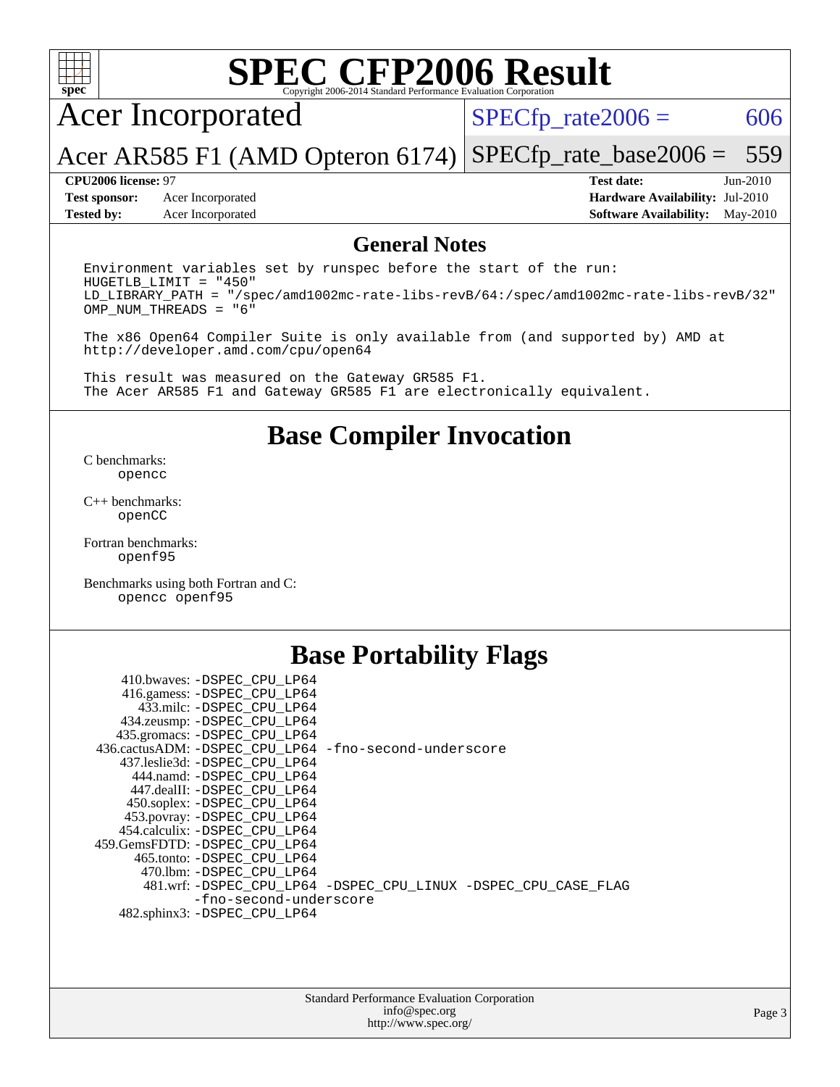

### Acer Incorporated

 $SPECTp\_rate2006 = 606$ 

Acer AR585 F1 (AMD Opteron 6174) [SPECfp\\_rate\\_base2006 =](http://www.spec.org/auto/cpu2006/Docs/result-fields.html#SPECfpratebase2006) 559

**[Test sponsor:](http://www.spec.org/auto/cpu2006/Docs/result-fields.html#Testsponsor)** Acer Incorporated **[Hardware Availability:](http://www.spec.org/auto/cpu2006/Docs/result-fields.html#HardwareAvailability)** Jul-2010 **[Tested by:](http://www.spec.org/auto/cpu2006/Docs/result-fields.html#Testedby)** Acer Incorporated **[Software Availability:](http://www.spec.org/auto/cpu2006/Docs/result-fields.html#SoftwareAvailability)** May-2010

**[CPU2006 license:](http://www.spec.org/auto/cpu2006/Docs/result-fields.html#CPU2006license)** 97 **[Test date:](http://www.spec.org/auto/cpu2006/Docs/result-fields.html#Testdate)** Jun-2010

#### **[General Notes](http://www.spec.org/auto/cpu2006/Docs/result-fields.html#GeneralNotes)**

Environment variables set by runspec before the start of the run: HUGETLB\_LIMIT = "450" LD\_LIBRARY\_PATH = "/spec/amd1002mc-rate-libs-revB/64:/spec/amd1002mc-rate-libs-revB/32" OMP\_NUM\_THREADS = "6"

The x86 Open64 Compiler Suite is only available from (and supported by) AMD at <http://developer.amd.com/cpu/open64>

This result was measured on the Gateway GR585 F1. The Acer AR585 F1 and Gateway GR585 F1 are electronically equivalent.

#### **[Base Compiler Invocation](http://www.spec.org/auto/cpu2006/Docs/result-fields.html#BaseCompilerInvocation)**

[C benchmarks](http://www.spec.org/auto/cpu2006/Docs/result-fields.html#Cbenchmarks): [opencc](http://www.spec.org/cpu2006/results/res2010q3/cpu2006-20100706-12360.flags.html#user_CCbase_Fopencc)

[C++ benchmarks:](http://www.spec.org/auto/cpu2006/Docs/result-fields.html#CXXbenchmarks) [openCC](http://www.spec.org/cpu2006/results/res2010q3/cpu2006-20100706-12360.flags.html#user_CXXbase_FopenCC)

[Fortran benchmarks](http://www.spec.org/auto/cpu2006/Docs/result-fields.html#Fortranbenchmarks): [openf95](http://www.spec.org/cpu2006/results/res2010q3/cpu2006-20100706-12360.flags.html#user_FCbase_Fopenf95)

[Benchmarks using both Fortran and C](http://www.spec.org/auto/cpu2006/Docs/result-fields.html#BenchmarksusingbothFortranandC): [opencc](http://www.spec.org/cpu2006/results/res2010q3/cpu2006-20100706-12360.flags.html#user_CC_FCbase_Fopencc) [openf95](http://www.spec.org/cpu2006/results/res2010q3/cpu2006-20100706-12360.flags.html#user_CC_FCbase_Fopenf95)

### **[Base Portability Flags](http://www.spec.org/auto/cpu2006/Docs/result-fields.html#BasePortabilityFlags)**

| 410.bwaves: -DSPEC CPU LP64                           |                                                                |
|-------------------------------------------------------|----------------------------------------------------------------|
| 416.gamess: -DSPEC_CPU_LP64                           |                                                                |
| 433.milc: -DSPEC CPU LP64                             |                                                                |
| 434.zeusmp: -DSPEC_CPU_LP64                           |                                                                |
| 435.gromacs: -DSPEC CPU LP64                          |                                                                |
| 436.cactusADM: -DSPEC CPU LP64 -fno-second-underscore |                                                                |
| 437.leslie3d: -DSPEC CPU LP64                         |                                                                |
| 444.namd: - DSPEC CPU LP64                            |                                                                |
| 447.dealII: -DSPEC CPU LP64                           |                                                                |
| 450.soplex: -DSPEC_CPU_LP64                           |                                                                |
| 453.povray: -DSPEC_CPU_LP64                           |                                                                |
| 454.calculix: -DSPEC CPU LP64                         |                                                                |
| 459.GemsFDTD: -DSPEC_CPU LP64                         |                                                                |
| 465.tonto: - DSPEC CPU LP64                           |                                                                |
| 470.1bm: - DSPEC CPU LP64                             |                                                                |
|                                                       | 481.wrf: -DSPEC_CPU_LP64 -DSPEC_CPU_LINUX -DSPEC_CPU_CASE_FLAG |
| -fno-second-underscore                                |                                                                |
| 482.sphinx3: -DSPEC_CPU_LP64                          |                                                                |
|                                                       |                                                                |

| <b>Standard Performance Evaluation Corporation</b> |
|----------------------------------------------------|
| info@spec.org                                      |
| http://www.spec.org/                               |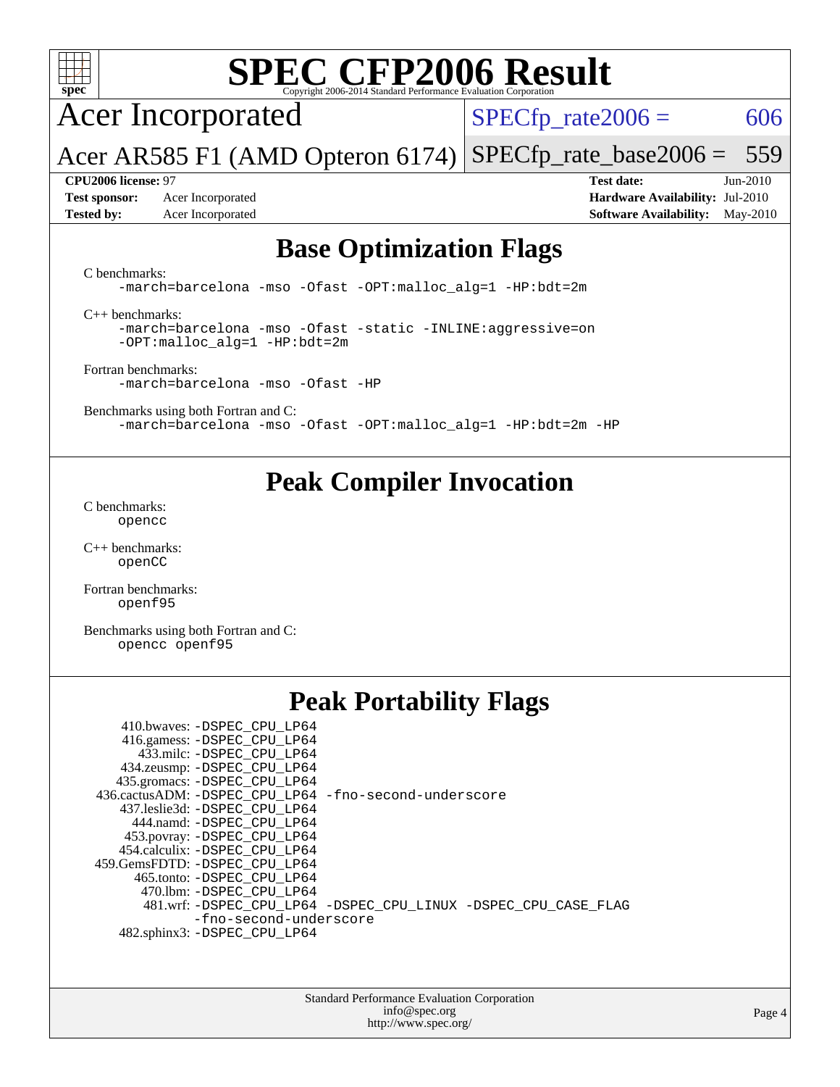

Acer Incorporated

 $SPECTp\_rate2006 = 606$ 

Acer AR585 F1 (AMD Opteron 6174) [SPECfp\\_rate\\_base2006 =](http://www.spec.org/auto/cpu2006/Docs/result-fields.html#SPECfpratebase2006) 559

**[CPU2006 license:](http://www.spec.org/auto/cpu2006/Docs/result-fields.html#CPU2006license)** 97 **[Test date:](http://www.spec.org/auto/cpu2006/Docs/result-fields.html#Testdate)** Jun-2010 **[Test sponsor:](http://www.spec.org/auto/cpu2006/Docs/result-fields.html#Testsponsor)** Acer Incorporated **[Hardware Availability:](http://www.spec.org/auto/cpu2006/Docs/result-fields.html#HardwareAvailability)** Jul-2010 **[Tested by:](http://www.spec.org/auto/cpu2006/Docs/result-fields.html#Testedby)** Acer Incorporated **[Software Availability:](http://www.spec.org/auto/cpu2006/Docs/result-fields.html#SoftwareAvailability)** May-2010

### **[Base Optimization Flags](http://www.spec.org/auto/cpu2006/Docs/result-fields.html#BaseOptimizationFlags)**

[C benchmarks](http://www.spec.org/auto/cpu2006/Docs/result-fields.html#Cbenchmarks):

[-march=barcelona](http://www.spec.org/cpu2006/results/res2010q3/cpu2006-20100706-12360.flags.html#user_CCbase_F-march_8ea39521cada96f307a04d0b8b9c6ffb) [-mso](http://www.spec.org/cpu2006/results/res2010q3/cpu2006-20100706-12360.flags.html#user_CCbase_F-mso) [-Ofast](http://www.spec.org/cpu2006/results/res2010q3/cpu2006-20100706-12360.flags.html#user_CCbase_F-Ofast) [-OPT:malloc\\_alg=1](http://www.spec.org/cpu2006/results/res2010q3/cpu2006-20100706-12360.flags.html#user_CCbase_F-OPT:malloc_algorithm_58733815edefaa612c2ed769b716daa0) [-HP:bdt=2m](http://www.spec.org/cpu2006/results/res2010q3/cpu2006-20100706-12360.flags.html#user_CCbase_F-HUGEPAGE_99eaea9f74400395f9f16774d1aed5d7)

[C++ benchmarks:](http://www.spec.org/auto/cpu2006/Docs/result-fields.html#CXXbenchmarks)

[-march=barcelona](http://www.spec.org/cpu2006/results/res2010q3/cpu2006-20100706-12360.flags.html#user_CXXbase_F-march_8ea39521cada96f307a04d0b8b9c6ffb) [-mso](http://www.spec.org/cpu2006/results/res2010q3/cpu2006-20100706-12360.flags.html#user_CXXbase_F-mso) [-Ofast](http://www.spec.org/cpu2006/results/res2010q3/cpu2006-20100706-12360.flags.html#user_CXXbase_F-Ofast) [-static](http://www.spec.org/cpu2006/results/res2010q3/cpu2006-20100706-12360.flags.html#user_CXXbase_F-static) [-INLINE:aggressive=on](http://www.spec.org/cpu2006/results/res2010q3/cpu2006-20100706-12360.flags.html#user_CXXbase_F-INLINE:aggressive_e14807c0a1e56a6a83cb25ab07c7ae8a) [-OPT:malloc\\_alg=1](http://www.spec.org/cpu2006/results/res2010q3/cpu2006-20100706-12360.flags.html#user_CXXbase_F-OPT:malloc_algorithm_58733815edefaa612c2ed769b716daa0) [-HP:bdt=2m](http://www.spec.org/cpu2006/results/res2010q3/cpu2006-20100706-12360.flags.html#user_CXXbase_F-HUGEPAGE_99eaea9f74400395f9f16774d1aed5d7)

[Fortran benchmarks](http://www.spec.org/auto/cpu2006/Docs/result-fields.html#Fortranbenchmarks): [-march=barcelona](http://www.spec.org/cpu2006/results/res2010q3/cpu2006-20100706-12360.flags.html#user_FCbase_F-march_8ea39521cada96f307a04d0b8b9c6ffb) [-mso](http://www.spec.org/cpu2006/results/res2010q3/cpu2006-20100706-12360.flags.html#user_FCbase_F-mso) [-Ofast](http://www.spec.org/cpu2006/results/res2010q3/cpu2006-20100706-12360.flags.html#user_FCbase_F-Ofast) [-HP](http://www.spec.org/cpu2006/results/res2010q3/cpu2006-20100706-12360.flags.html#user_FCbase_F-HUGEPAGE_5df7ddc958063186306345596c5e7dc3)

[Benchmarks using both Fortran and C](http://www.spec.org/auto/cpu2006/Docs/result-fields.html#BenchmarksusingbothFortranandC): [-march=barcelona](http://www.spec.org/cpu2006/results/res2010q3/cpu2006-20100706-12360.flags.html#user_CC_FCbase_F-march_8ea39521cada96f307a04d0b8b9c6ffb) [-mso](http://www.spec.org/cpu2006/results/res2010q3/cpu2006-20100706-12360.flags.html#user_CC_FCbase_F-mso) [-Ofast](http://www.spec.org/cpu2006/results/res2010q3/cpu2006-20100706-12360.flags.html#user_CC_FCbase_F-Ofast) [-OPT:malloc\\_alg=1](http://www.spec.org/cpu2006/results/res2010q3/cpu2006-20100706-12360.flags.html#user_CC_FCbase_F-OPT:malloc_algorithm_58733815edefaa612c2ed769b716daa0) [-HP:bdt=2m](http://www.spec.org/cpu2006/results/res2010q3/cpu2006-20100706-12360.flags.html#user_CC_FCbase_F-HUGEPAGE_99eaea9f74400395f9f16774d1aed5d7) [-HP](http://www.spec.org/cpu2006/results/res2010q3/cpu2006-20100706-12360.flags.html#user_CC_FCbase_F-HUGEPAGE_5df7ddc958063186306345596c5e7dc3)

#### **[Peak Compiler Invocation](http://www.spec.org/auto/cpu2006/Docs/result-fields.html#PeakCompilerInvocation)**

[C benchmarks](http://www.spec.org/auto/cpu2006/Docs/result-fields.html#Cbenchmarks): [opencc](http://www.spec.org/cpu2006/results/res2010q3/cpu2006-20100706-12360.flags.html#user_CCpeak_Fopencc)

[C++ benchmarks:](http://www.spec.org/auto/cpu2006/Docs/result-fields.html#CXXbenchmarks) [openCC](http://www.spec.org/cpu2006/results/res2010q3/cpu2006-20100706-12360.flags.html#user_CXXpeak_FopenCC)

[Fortran benchmarks](http://www.spec.org/auto/cpu2006/Docs/result-fields.html#Fortranbenchmarks): [openf95](http://www.spec.org/cpu2006/results/res2010q3/cpu2006-20100706-12360.flags.html#user_FCpeak_Fopenf95)

[Benchmarks using both Fortran and C](http://www.spec.org/auto/cpu2006/Docs/result-fields.html#BenchmarksusingbothFortranandC): [opencc](http://www.spec.org/cpu2006/results/res2010q3/cpu2006-20100706-12360.flags.html#user_CC_FCpeak_Fopencc) [openf95](http://www.spec.org/cpu2006/results/res2010q3/cpu2006-20100706-12360.flags.html#user_CC_FCpeak_Fopenf95)

### **[Peak Portability Flags](http://www.spec.org/auto/cpu2006/Docs/result-fields.html#PeakPortabilityFlags)**

| 410.bwaves: -DSPEC CPU LP64                           |                                                                |
|-------------------------------------------------------|----------------------------------------------------------------|
| 416.gamess: -DSPEC_CPU_LP64                           |                                                                |
| 433.milc: -DSPEC CPU LP64                             |                                                                |
| 434.zeusmp: -DSPEC_CPU_LP64                           |                                                                |
| 435.gromacs: -DSPEC_CPU_LP64                          |                                                                |
| 436.cactusADM: -DSPEC CPU LP64 -fno-second-underscore |                                                                |
| 437.leslie3d: -DSPEC CPU LP64                         |                                                                |
| 444.namd: -DSPEC CPU LP64                             |                                                                |
| 453.povray: -DSPEC_CPU_LP64                           |                                                                |
| 454.calculix: -DSPEC CPU LP64                         |                                                                |
| 459.GemsFDTD: -DSPEC CPU LP64                         |                                                                |
| 465.tonto: - DSPEC CPU LP64                           |                                                                |
| 470.1bm: - DSPEC CPU LP64                             |                                                                |
|                                                       | 481.wrf: -DSPEC_CPU_LP64 -DSPEC_CPU_LINUX -DSPEC_CPU_CASE_FLAG |
| -fno-second-underscore                                |                                                                |
| 482.sphinx3: -DSPEC CPU LP64                          |                                                                |

Standard Performance Evaluation Corporation [info@spec.org](mailto:info@spec.org) <http://www.spec.org/>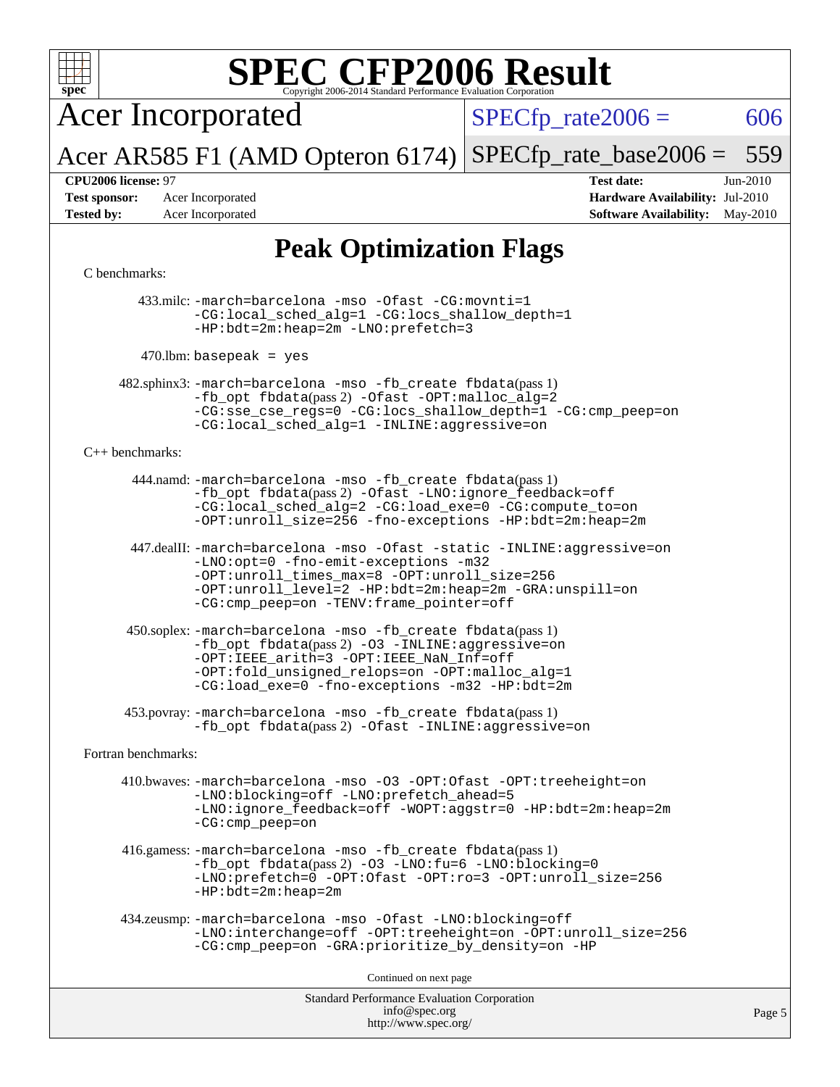

Acer Incorporated

 $SPECTp_rate2006 = 606$ 

Acer AR585 F1 (AMD Opteron 6174) [SPECfp\\_rate\\_base2006 =](http://www.spec.org/auto/cpu2006/Docs/result-fields.html#SPECfpratebase2006) 559

**[CPU2006 license:](http://www.spec.org/auto/cpu2006/Docs/result-fields.html#CPU2006license)** 97 **[Test date:](http://www.spec.org/auto/cpu2006/Docs/result-fields.html#Testdate)** Jun-2010 **[Test sponsor:](http://www.spec.org/auto/cpu2006/Docs/result-fields.html#Testsponsor)** Acer Incorporated **[Hardware Availability:](http://www.spec.org/auto/cpu2006/Docs/result-fields.html#HardwareAvailability)** Jul-2010 **[Tested by:](http://www.spec.org/auto/cpu2006/Docs/result-fields.html#Testedby)** Acer Incorporated **[Software Availability:](http://www.spec.org/auto/cpu2006/Docs/result-fields.html#SoftwareAvailability)** May-2010

### **[Peak Optimization Flags](http://www.spec.org/auto/cpu2006/Docs/result-fields.html#PeakOptimizationFlags)**

#### [C benchmarks](http://www.spec.org/auto/cpu2006/Docs/result-fields.html#Cbenchmarks):

 433.milc: [-march=barcelona](http://www.spec.org/cpu2006/results/res2010q3/cpu2006-20100706-12360.flags.html#user_peakCCLD433_milc_F-march_8ea39521cada96f307a04d0b8b9c6ffb) [-mso](http://www.spec.org/cpu2006/results/res2010q3/cpu2006-20100706-12360.flags.html#user_peakCCLD433_milc_F-mso) [-Ofast](http://www.spec.org/cpu2006/results/res2010q3/cpu2006-20100706-12360.flags.html#user_peakCOPTIMIZE433_milc_F-Ofast) [-CG:movnti=1](http://www.spec.org/cpu2006/results/res2010q3/cpu2006-20100706-12360.flags.html#user_peakCOPTIMIZE433_milc_F-CG:movnti_c5191dc1f6da57382570e339f0143b6b) [-CG:local\\_sched\\_alg=1](http://www.spec.org/cpu2006/results/res2010q3/cpu2006-20100706-12360.flags.html#user_peakCOPTIMIZE433_milc_F-CG:local_sched_alg_2175ca61f1a2717f1ec57b14995b9e7a) [-CG:locs\\_shallow\\_depth=1](http://www.spec.org/cpu2006/results/res2010q3/cpu2006-20100706-12360.flags.html#user_peakCOPTIMIZE433_milc_F-CG:locs_shallow_depth_ec0a53d3def1c53dcd5985fc16cc23f2) [-HP:bdt=2m:heap=2m](http://www.spec.org/cpu2006/results/res2010q3/cpu2006-20100706-12360.flags.html#user_peakCOPTIMIZE433_milc_F-HUGEPAGE_855e97383b49831f390a2af16fe7202f) [-LNO:prefetch=3](http://www.spec.org/cpu2006/results/res2010q3/cpu2006-20100706-12360.flags.html#user_peakCOPTIMIZE433_milc_F-LNO:prefetch_73b5a9400a8f80d6e23f06aa34f07c5f)

 $470$ .lbm: basepeak = yes

 482.sphinx3: [-march=barcelona](http://www.spec.org/cpu2006/results/res2010q3/cpu2006-20100706-12360.flags.html#user_peakCCLD482_sphinx3_F-march_8ea39521cada96f307a04d0b8b9c6ffb) [-mso](http://www.spec.org/cpu2006/results/res2010q3/cpu2006-20100706-12360.flags.html#user_peakCCLD482_sphinx3_F-mso) [-fb\\_create fbdata](http://www.spec.org/cpu2006/results/res2010q3/cpu2006-20100706-12360.flags.html#user_peakPASS1_CFLAGSPASS1_LDFLAGS482_sphinx3_F-fb_create_filename)(pass 1) [-fb\\_opt fbdata](http://www.spec.org/cpu2006/results/res2010q3/cpu2006-20100706-12360.flags.html#user_peakPASS2_CFLAGSPASS2_LDFLAGS482_sphinx3_F-fb_opt_filename)(pass 2) [-Ofast](http://www.spec.org/cpu2006/results/res2010q3/cpu2006-20100706-12360.flags.html#user_peakCOPTIMIZE482_sphinx3_F-Ofast) [-OPT:malloc\\_alg=2](http://www.spec.org/cpu2006/results/res2010q3/cpu2006-20100706-12360.flags.html#user_peakCOPTIMIZE482_sphinx3_F-OPT:malloc_algorithm_e62903d0840423b2a5cd674766328c33) [-CG:sse\\_cse\\_regs=0](http://www.spec.org/cpu2006/results/res2010q3/cpu2006-20100706-12360.flags.html#user_peakCOPTIMIZE482_sphinx3_F-CG:sse_cse_regs_7df8d7006fcaae90aa34e4c541216ae1) [-CG:locs\\_shallow\\_depth=1](http://www.spec.org/cpu2006/results/res2010q3/cpu2006-20100706-12360.flags.html#user_peakCOPTIMIZE482_sphinx3_F-CG:locs_shallow_depth_ec0a53d3def1c53dcd5985fc16cc23f2) [-CG:cmp\\_peep=on](http://www.spec.org/cpu2006/results/res2010q3/cpu2006-20100706-12360.flags.html#user_peakCOPTIMIZE482_sphinx3_F-CG:cmp_peep_ab90c979e95bee1f1f617a32622424ed) [-CG:local\\_sched\\_alg=1](http://www.spec.org/cpu2006/results/res2010q3/cpu2006-20100706-12360.flags.html#user_peakCOPTIMIZE482_sphinx3_F-CG:local_sched_alg_2175ca61f1a2717f1ec57b14995b9e7a) [-INLINE:aggressive=on](http://www.spec.org/cpu2006/results/res2010q3/cpu2006-20100706-12360.flags.html#user_peakCOPTIMIZE482_sphinx3_F-INLINE:aggressive_e14807c0a1e56a6a83cb25ab07c7ae8a)

#### [C++ benchmarks:](http://www.spec.org/auto/cpu2006/Docs/result-fields.html#CXXbenchmarks)

 444.namd: [-march=barcelona](http://www.spec.org/cpu2006/results/res2010q3/cpu2006-20100706-12360.flags.html#user_peakCXXLD444_namd_F-march_8ea39521cada96f307a04d0b8b9c6ffb) [-mso](http://www.spec.org/cpu2006/results/res2010q3/cpu2006-20100706-12360.flags.html#user_peakCXXLD444_namd_F-mso) [-fb\\_create fbdata](http://www.spec.org/cpu2006/results/res2010q3/cpu2006-20100706-12360.flags.html#user_peakPASS1_CXXFLAGSPASS1_LDFLAGS444_namd_F-fb_create_filename)(pass 1) [-fb\\_opt fbdata](http://www.spec.org/cpu2006/results/res2010q3/cpu2006-20100706-12360.flags.html#user_peakPASS2_CXXFLAGSPASS2_LDFLAGS444_namd_F-fb_opt_filename)(pass 2) [-Ofast](http://www.spec.org/cpu2006/results/res2010q3/cpu2006-20100706-12360.flags.html#user_peakCXXOPTIMIZE444_namd_F-Ofast) [-LNO:ignore\\_feedback=off](http://www.spec.org/cpu2006/results/res2010q3/cpu2006-20100706-12360.flags.html#user_peakCXXOPTIMIZE444_namd_F-LNO:ignore_feedback_1d6d06f39185b277a955c10dfd0a9a73) [-CG:local\\_sched\\_alg=2](http://www.spec.org/cpu2006/results/res2010q3/cpu2006-20100706-12360.flags.html#user_peakCXXOPTIMIZE444_namd_F-CG:local_sched_alg_7e9cde87db6e5e7117cdd873e1f958ca) [-CG:load\\_exe=0](http://www.spec.org/cpu2006/results/res2010q3/cpu2006-20100706-12360.flags.html#user_peakCXXOPTIMIZE444_namd_F-CG:load_exe_274d025dc8e91b4834366e9e44cd78e3) [-CG:compute\\_to=on](http://www.spec.org/cpu2006/results/res2010q3/cpu2006-20100706-12360.flags.html#user_peakCXXOPTIMIZE444_namd_F-CG:compute_to_596c30b399a79f0675b006ae34a185eb) [-OPT:unroll\\_size=256](http://www.spec.org/cpu2006/results/res2010q3/cpu2006-20100706-12360.flags.html#user_peakCXXOPTIMIZE444_namd_F-OPT:unroll_size_dfa492f42f50f580c3837c8b22d14f27) [-fno-exceptions](http://www.spec.org/cpu2006/results/res2010q3/cpu2006-20100706-12360.flags.html#user_peakCXXOPTIMIZE444_namd_F-fexceptions) [-HP:bdt=2m:heap=2m](http://www.spec.org/cpu2006/results/res2010q3/cpu2006-20100706-12360.flags.html#user_peakCXXOPTIMIZE444_namd_F-HUGEPAGE_855e97383b49831f390a2af16fe7202f)

 447.dealII: [-march=barcelona](http://www.spec.org/cpu2006/results/res2010q3/cpu2006-20100706-12360.flags.html#user_peakCXXLD447_dealII_F-march_8ea39521cada96f307a04d0b8b9c6ffb) [-mso](http://www.spec.org/cpu2006/results/res2010q3/cpu2006-20100706-12360.flags.html#user_peakCXXLD447_dealII_F-mso) [-Ofast](http://www.spec.org/cpu2006/results/res2010q3/cpu2006-20100706-12360.flags.html#user_peakCXXOPTIMIZE447_dealII_F-Ofast) [-static](http://www.spec.org/cpu2006/results/res2010q3/cpu2006-20100706-12360.flags.html#user_peakCXXOPTIMIZE447_dealII_F-static) [-INLINE:aggressive=on](http://www.spec.org/cpu2006/results/res2010q3/cpu2006-20100706-12360.flags.html#user_peakCXXOPTIMIZE447_dealII_F-INLINE:aggressive_e14807c0a1e56a6a83cb25ab07c7ae8a) [-LNO:opt=0](http://www.spec.org/cpu2006/results/res2010q3/cpu2006-20100706-12360.flags.html#user_peakCXXOPTIMIZE447_dealII_F-LNO:opt_b91e8b13d06f45039299c6496cc69a5f) [-fno-emit-exceptions](http://www.spec.org/cpu2006/results/res2010q3/cpu2006-20100706-12360.flags.html#user_peakCXXOPTIMIZE447_dealII_F-fno-emit-exceptions) [-m32](http://www.spec.org/cpu2006/results/res2010q3/cpu2006-20100706-12360.flags.html#user_peakCXXOPTIMIZE447_dealII_F-m32) [-OPT:unroll\\_times\\_max=8](http://www.spec.org/cpu2006/results/res2010q3/cpu2006-20100706-12360.flags.html#user_peakCXXOPTIMIZE447_dealII_F-OPT:unroll_times_max_1ad8852298ca2c36a68b2d007aae0e22) [-OPT:unroll\\_size=256](http://www.spec.org/cpu2006/results/res2010q3/cpu2006-20100706-12360.flags.html#user_peakCXXOPTIMIZE447_dealII_F-OPT:unroll_size_dfa492f42f50f580c3837c8b22d14f27) [-OPT:unroll\\_level=2](http://www.spec.org/cpu2006/results/res2010q3/cpu2006-20100706-12360.flags.html#user_peakCXXOPTIMIZE447_dealII_F-OPT:unroll_level_2cd767e66711a193dd7aad8ffe1e4d20) [-HP:bdt=2m:heap=2m](http://www.spec.org/cpu2006/results/res2010q3/cpu2006-20100706-12360.flags.html#user_peakCXXOPTIMIZE447_dealII_F-HUGEPAGE_855e97383b49831f390a2af16fe7202f) [-GRA:unspill=on](http://www.spec.org/cpu2006/results/res2010q3/cpu2006-20100706-12360.flags.html#user_peakCXXOPTIMIZE447_dealII_F-GRA:unspill_1a6c98043856890311246be72b057593) [-CG:cmp\\_peep=on](http://www.spec.org/cpu2006/results/res2010q3/cpu2006-20100706-12360.flags.html#user_peakCXXOPTIMIZE447_dealII_F-CG:cmp_peep_ab90c979e95bee1f1f617a32622424ed) [-TENV:frame\\_pointer=off](http://www.spec.org/cpu2006/results/res2010q3/cpu2006-20100706-12360.flags.html#user_peakCXXOPTIMIZE447_dealII_F-TENV:frame_pointer_2e92068e13bfe2cecb58286df627594f)

 450.soplex: [-march=barcelona](http://www.spec.org/cpu2006/results/res2010q3/cpu2006-20100706-12360.flags.html#user_peakCXXLD450_soplex_F-march_8ea39521cada96f307a04d0b8b9c6ffb) [-mso](http://www.spec.org/cpu2006/results/res2010q3/cpu2006-20100706-12360.flags.html#user_peakCXXLD450_soplex_F-mso) [-fb\\_create fbdata](http://www.spec.org/cpu2006/results/res2010q3/cpu2006-20100706-12360.flags.html#user_peakPASS1_CXXFLAGSPASS1_LDFLAGS450_soplex_F-fb_create_filename)(pass 1)  $-fb$  opt fbdata(pass 2) [-O3](http://www.spec.org/cpu2006/results/res2010q3/cpu2006-20100706-12360.flags.html#user_peakCXXOPTIMIZE450_soplex_F-O3) [-INLINE:aggressive=on](http://www.spec.org/cpu2006/results/res2010q3/cpu2006-20100706-12360.flags.html#user_peakCXXOPTIMIZE450_soplex_F-INLINE:aggressive_e14807c0a1e56a6a83cb25ab07c7ae8a) [-OPT:IEEE\\_arith=3](http://www.spec.org/cpu2006/results/res2010q3/cpu2006-20100706-12360.flags.html#user_peakCXXOPTIMIZE450_soplex_F-OPT:IEEE_arith_deed7f378bba536bb15e5525c2cfff5d) [-OPT:IEEE\\_NaN\\_Inf=off](http://www.spec.org/cpu2006/results/res2010q3/cpu2006-20100706-12360.flags.html#user_peakCXXOPTIMIZE450_soplex_F-OPT:IEEE_NaN_Inf_a80561cd0dc061d93d55cc50467065f5) [-OPT:fold\\_unsigned\\_relops=on](http://www.spec.org/cpu2006/results/res2010q3/cpu2006-20100706-12360.flags.html#user_peakCXXOPTIMIZE450_soplex_F-OPT:fold_unsigned_relops_3472896f4df6f05453f457c244d9ad64) [-OPT:malloc\\_alg=1](http://www.spec.org/cpu2006/results/res2010q3/cpu2006-20100706-12360.flags.html#user_peakCXXOPTIMIZE450_soplex_F-OPT:malloc_algorithm_58733815edefaa612c2ed769b716daa0) [-CG:load\\_exe=0](http://www.spec.org/cpu2006/results/res2010q3/cpu2006-20100706-12360.flags.html#user_peakCXXOPTIMIZE450_soplex_F-CG:load_exe_274d025dc8e91b4834366e9e44cd78e3) [-fno-exceptions](http://www.spec.org/cpu2006/results/res2010q3/cpu2006-20100706-12360.flags.html#user_peakCXXOPTIMIZE450_soplex_F-fexceptions) [-m32](http://www.spec.org/cpu2006/results/res2010q3/cpu2006-20100706-12360.flags.html#user_peakCXXOPTIMIZE450_soplex_F-m32) [-HP:bdt=2m](http://www.spec.org/cpu2006/results/res2010q3/cpu2006-20100706-12360.flags.html#user_peakCXXOPTIMIZE450_soplex_F-HUGEPAGE_99eaea9f74400395f9f16774d1aed5d7)

 453.povray: [-march=barcelona](http://www.spec.org/cpu2006/results/res2010q3/cpu2006-20100706-12360.flags.html#user_peakCXXLD453_povray_F-march_8ea39521cada96f307a04d0b8b9c6ffb) [-mso](http://www.spec.org/cpu2006/results/res2010q3/cpu2006-20100706-12360.flags.html#user_peakCXXLD453_povray_F-mso) [-fb\\_create fbdata](http://www.spec.org/cpu2006/results/res2010q3/cpu2006-20100706-12360.flags.html#user_peakPASS1_CXXFLAGSPASS1_LDFLAGS453_povray_F-fb_create_filename)(pass 1) -fb opt fbdata(pass 2) [-Ofast](http://www.spec.org/cpu2006/results/res2010q3/cpu2006-20100706-12360.flags.html#user_peakCXXOPTIMIZE453_povray_F-Ofast) [-INLINE:aggressive=on](http://www.spec.org/cpu2006/results/res2010q3/cpu2006-20100706-12360.flags.html#user_peakCXXOPTIMIZE453_povray_F-INLINE:aggressive_e14807c0a1e56a6a83cb25ab07c7ae8a)

[Fortran benchmarks](http://www.spec.org/auto/cpu2006/Docs/result-fields.html#Fortranbenchmarks):

 410.bwaves: [-march=barcelona](http://www.spec.org/cpu2006/results/res2010q3/cpu2006-20100706-12360.flags.html#user_peakFCLD410_bwaves_F-march_8ea39521cada96f307a04d0b8b9c6ffb) [-mso](http://www.spec.org/cpu2006/results/res2010q3/cpu2006-20100706-12360.flags.html#user_peakFCLD410_bwaves_F-mso) [-O3](http://www.spec.org/cpu2006/results/res2010q3/cpu2006-20100706-12360.flags.html#user_peakFOPTIMIZE410_bwaves_F-O3) [-OPT:Ofast](http://www.spec.org/cpu2006/results/res2010q3/cpu2006-20100706-12360.flags.html#user_peakFOPTIMIZE410_bwaves_F-OPT:Ofast) [-OPT:treeheight=on](http://www.spec.org/cpu2006/results/res2010q3/cpu2006-20100706-12360.flags.html#user_peakFOPTIMIZE410_bwaves_F-OPT:treeheight_cfc70e9aefb9f92101ba198ff7377f7c) [-LNO:blocking=off](http://www.spec.org/cpu2006/results/res2010q3/cpu2006-20100706-12360.flags.html#user_peakFOPTIMIZE410_bwaves_F-LNO:blocking_806f5758a3ec85ed57cd5625787129f2) [-LNO:prefetch\\_ahead=5](http://www.spec.org/cpu2006/results/res2010q3/cpu2006-20100706-12360.flags.html#user_peakFOPTIMIZE410_bwaves_F-LNO:prefetch_ahead_c59c70d489a430be6e6f849be2b84ce8) [-LNO:ignore\\_feedback=off](http://www.spec.org/cpu2006/results/res2010q3/cpu2006-20100706-12360.flags.html#user_peakFOPTIMIZE410_bwaves_F-LNO:ignore_feedback_1d6d06f39185b277a955c10dfd0a9a73) [-WOPT:aggstr=0](http://www.spec.org/cpu2006/results/res2010q3/cpu2006-20100706-12360.flags.html#user_peakFOPTIMIZE410_bwaves_F-WOPT:aggstr_e9f678663e612582e440992a3901d0b4) [-HP:bdt=2m:heap=2m](http://www.spec.org/cpu2006/results/res2010q3/cpu2006-20100706-12360.flags.html#user_peakFOPTIMIZE410_bwaves_F-HUGEPAGE_855e97383b49831f390a2af16fe7202f) [-CG:cmp\\_peep=on](http://www.spec.org/cpu2006/results/res2010q3/cpu2006-20100706-12360.flags.html#user_peakFOPTIMIZE410_bwaves_F-CG:cmp_peep_ab90c979e95bee1f1f617a32622424ed)

 416.gamess: [-march=barcelona](http://www.spec.org/cpu2006/results/res2010q3/cpu2006-20100706-12360.flags.html#user_peakFCLD416_gamess_F-march_8ea39521cada96f307a04d0b8b9c6ffb) [-mso](http://www.spec.org/cpu2006/results/res2010q3/cpu2006-20100706-12360.flags.html#user_peakFCLD416_gamess_F-mso) [-fb\\_create fbdata](http://www.spec.org/cpu2006/results/res2010q3/cpu2006-20100706-12360.flags.html#user_peakPASS1_FFLAGSPASS1_LDFLAGS416_gamess_F-fb_create_filename)(pass 1) [-fb\\_opt fbdata](http://www.spec.org/cpu2006/results/res2010q3/cpu2006-20100706-12360.flags.html#user_peakPASS2_FFLAGSPASS2_LDFLAGS416_gamess_F-fb_opt_filename)(pass 2) [-O3](http://www.spec.org/cpu2006/results/res2010q3/cpu2006-20100706-12360.flags.html#user_peakFOPTIMIZE416_gamess_F-O3) [-LNO:fu=6](http://www.spec.org/cpu2006/results/res2010q3/cpu2006-20100706-12360.flags.html#user_peakFOPTIMIZE416_gamess_F-LNO:full_unroll_3286c2d175e5cd3c391f9ebb1917057c) [-LNO:blocking=0](http://www.spec.org/cpu2006/results/res2010q3/cpu2006-20100706-12360.flags.html#user_peakFOPTIMIZE416_gamess_F-LNO:blocking_f05bf6a7a6c1d0fdc72c448778ff5994) [-LNO:prefetch=0](http://www.spec.org/cpu2006/results/res2010q3/cpu2006-20100706-12360.flags.html#user_peakFOPTIMIZE416_gamess_F-LNO:prefetch_697fbd9f9feab3edac5397fc7beec995) [-OPT:Ofast](http://www.spec.org/cpu2006/results/res2010q3/cpu2006-20100706-12360.flags.html#user_peakFOPTIMIZE416_gamess_F-OPT:Ofast) [-OPT:ro=3](http://www.spec.org/cpu2006/results/res2010q3/cpu2006-20100706-12360.flags.html#user_peakFOPTIMIZE416_gamess_F-OPT:ro_df424ac2b688fef46f512566ef2e1c44) [-OPT:unroll\\_size=256](http://www.spec.org/cpu2006/results/res2010q3/cpu2006-20100706-12360.flags.html#user_peakFOPTIMIZE416_gamess_F-OPT:unroll_size_dfa492f42f50f580c3837c8b22d14f27) [-HP:bdt=2m:heap=2m](http://www.spec.org/cpu2006/results/res2010q3/cpu2006-20100706-12360.flags.html#user_peakFOPTIMIZE416_gamess_F-HUGEPAGE_855e97383b49831f390a2af16fe7202f)

```
 434.zeusmp: -march=barcelona -mso -Ofast -LNO:blocking=off
-LNO:interchange=off -OPT:treeheight=on -OPT:unroll_size=256
-CG:cmp_peep=on -GRA:prioritize_by_density=on -HP
```
Continued on next page

Standard Performance Evaluation Corporation [info@spec.org](mailto:info@spec.org) <http://www.spec.org/>